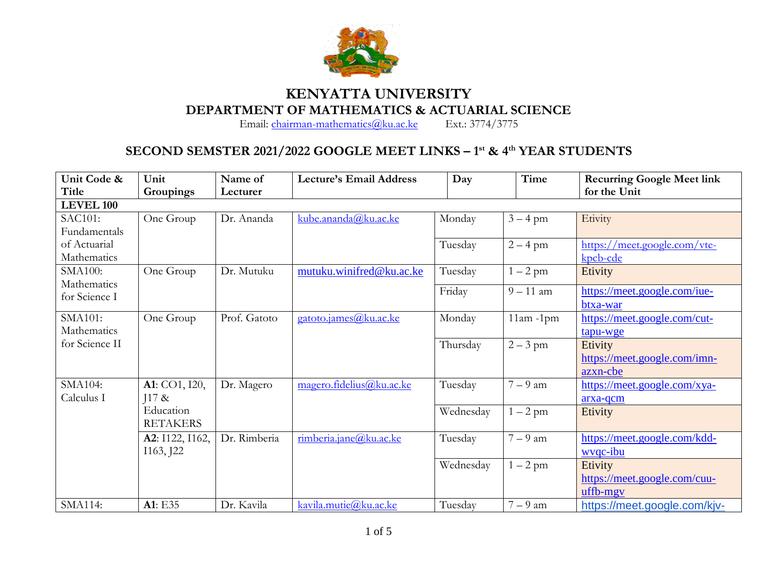

## **KENYATTA UNIVERSITY DEPARTMENT OF MATHEMATICS & ACTUARIAL SCIENCE**<br>Email: chairman-mathematics@ku.ac.ke Ext.: 3774/3775

Email: [chairman-mathematics@ku.ac.ke](mailto:chairman-mathematics@ku.ac.ke)

## **SECOND SEMSTER 2021/2022 GOOGLE MEET LINKS – 1 st & 4th YEAR STUDENTS**

| Unit Code &      | Unit            | Name of      | <b>Lecture's Email Address</b> | Day       | Time         | <b>Recurring Google Meet link</b> |
|------------------|-----------------|--------------|--------------------------------|-----------|--------------|-----------------------------------|
| Title            | Groupings       | Lecturer     |                                |           |              | for the Unit                      |
| <b>LEVEL 100</b> |                 |              |                                |           |              |                                   |
| <b>SAC101:</b>   | One Group       | Dr. Ananda   | kube. an and a@ku.ac.ke        | Monday    | $3 - 4$ pm   | Etivity                           |
| Fundamentals     |                 |              |                                |           |              |                                   |
| of Actuarial     |                 |              |                                | Tuesday   | $2 - 4$ pm   | https://meet.google.com/vte-      |
| Mathematics      |                 |              |                                |           |              | $kpcb$ -cde                       |
| <b>SMA100:</b>   | One Group       | Dr. Mutuku   | mutuku.winifred@ku.ac.ke       | Tuesday   | $1-2$ pm     | Etivity                           |
| Mathematics      |                 |              |                                | Friday    | $9 - 11$ am  | https://meet.google.com/iue-      |
| for Science I    |                 |              |                                |           |              | btxa-war                          |
| SMA101:          | One Group       | Prof. Gatoto | gatoto.james@ku.ac.ke          | Monday    |              |                                   |
| Mathematics      |                 |              |                                |           | $11am - 1pm$ | https://meet.google.com/cut-      |
| for Science II   |                 |              |                                |           |              | tapu-wge                          |
|                  |                 |              |                                | Thursday  | $2 - 3$ pm   | Etivity                           |
|                  |                 |              |                                |           |              | https://meet.google.com/imn-      |
|                  |                 |              |                                |           |              | azxn-cbe                          |
| SMA104:          | A1: CO1, I20,   | Dr. Magero   | magero.fidelius@ku.ac.ke       | Tuesday   | $7 - 9$ am   | https://meet.google.com/xya-      |
| Calculus I       | $117 \&$        |              |                                |           |              | arxa-qcm                          |
|                  | Education       |              |                                | Wednesday | $1-2$ pm     | Etivity                           |
|                  | <b>RETAKERS</b> |              |                                |           |              |                                   |
|                  | A2: I122, I162, | Dr. Rimberia | rimberia.jane@ku.ac.ke         | Tuesday   | $7-9$ am     | https://meet.google.com/kdd-      |
|                  | I163, J22       |              |                                |           |              | wvqc-ibu                          |
|                  |                 |              |                                | Wednesday | $1-2$ pm     | Etivity                           |
|                  |                 |              |                                |           |              | https://meet.google.com/cuu-      |
|                  |                 |              |                                |           |              | uffb-mgy                          |
| <b>SMA114:</b>   | A1: E35         | Dr. Kavila   | kavila.mutie@ku.ac.ke          | Tuesday   | $7-9$ am     | https://meet.google.com/kjv-      |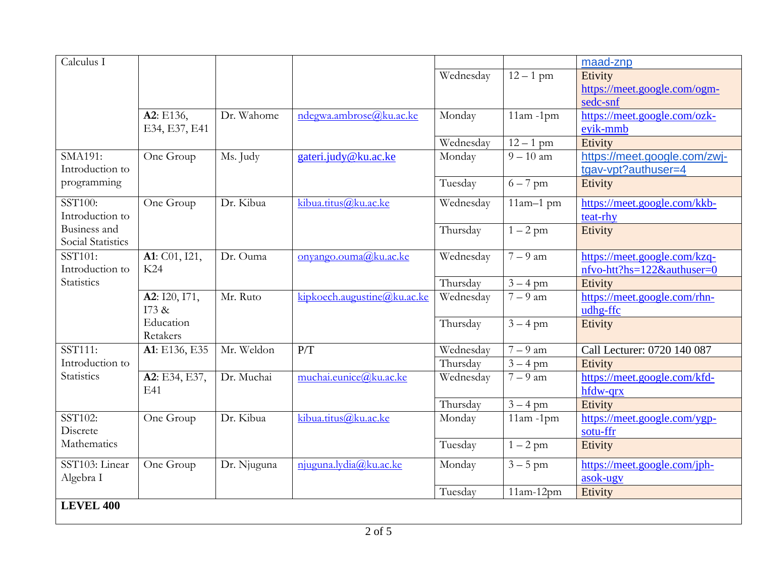| Calculus I          |                       |             |                             |           |                        | maad-znp                     |
|---------------------|-----------------------|-------------|-----------------------------|-----------|------------------------|------------------------------|
|                     |                       |             |                             | Wednesday | $12 - 1$ pm            | Etivity                      |
|                     |                       |             |                             |           |                        | https://meet.google.com/ogm- |
|                     |                       |             |                             |           |                        | sedc-snf                     |
|                     | A2: E136,             | Dr. Wahome  | ndegwa.ambrose@ku.ac.ke     | Monday    | $11am - 1pm$           | https://meet.google.com/ozk- |
|                     | E34, E37, E41         |             |                             |           |                        | eyik-mmb                     |
|                     |                       |             |                             | Wednesday | $12 - 1$ pm            | Etivity                      |
| SMA191:             | One Group             | Ms. Judy    | gateri.judy@ku.ac.ke        | Monday    | $\overline{9} - 10$ am | https://meet.google.com/zwj- |
| Introduction to     |                       |             |                             |           |                        | tgav-vpt?authuser=4          |
| programming         |                       |             |                             | Tuesday   | $6 - 7$ pm             | Etivity                      |
| SST100:             | One Group             | Dr. Kibua   | kibua.titus@ku.ac.ke        | Wednesday | $11am-1$ pm            | https://meet.google.com/kkb- |
| Introduction to     |                       |             |                             |           |                        | teat-rhy                     |
| <b>Business</b> and |                       |             |                             | Thursday  | $1 - 2$ pm             | Etivity                      |
| Social Statistics   |                       |             |                             |           |                        |                              |
| SST101:             | A1: C01, I21,         | Dr. Ouma    | $onvango.ouma(a)ku.ac.ke$   | Wednesday | $7-9$ am               | https://meet.google.com/kzq- |
| Introduction to     | K24                   |             |                             |           |                        | nfvo-htt?hs=122&authuser=0   |
| <b>Statistics</b>   |                       |             |                             | Thursday  | $3 - 4$ pm             | Etivity                      |
|                     | A2: I20, I71,         | Mr. Ruto    | kipkoech.augustine@ku.ac.ke | Wednesday | $7-9$ am               | https://meet.google.com/rhn- |
|                     | I73 &                 |             |                             |           |                        | udhg-ffc                     |
|                     | Education<br>Retakers |             |                             | Thursday  | $3 - 4$ pm             | Etivity                      |
| SST111:             | A1: E136, E35         | Mr. Weldon  | P/T                         | Wednesday | $7-9$ am               | Call Lecturer: 0720 140 087  |
| Introduction to     |                       |             |                             | Thursday  | $3 - 4$ pm             | Etivity                      |
| <b>Statistics</b>   | A2: E34, E37,         | Dr. Muchai  | muchai.eunice@ku.ac.ke      | Wednesday | $7-9$ am               | https://meet.google.com/kfd- |
|                     | E41                   |             |                             |           |                        | hfdw-qrx                     |
|                     |                       |             |                             | Thursday  | $3 - 4$ pm             | Etivity                      |
| SST102:             | One Group             | Dr. Kibua   | kibua.titus@ku.ac.ke        | Monday    | $11am - 1pm$           | https://meet.google.com/ygp- |
| Discrete            |                       |             |                             |           |                        | sotu-ffr                     |
| Mathematics         |                       |             |                             | Tuesday   | $1 - 2$ pm             | Etivity                      |
|                     |                       |             |                             |           |                        |                              |
| SST103: Linear      | One Group             | Dr. Njuguna | njuguna.lydia@ku.ac.ke      | Monday    | $3 - 5$ pm             | https://meet.google.com/jph- |
| Algebra I           |                       |             |                             |           |                        | asok-ugy                     |
|                     |                       |             |                             | Tuesday   | $11am-12pm$            | Etivity                      |
| <b>LEVEL 400</b>    |                       |             |                             |           |                        |                              |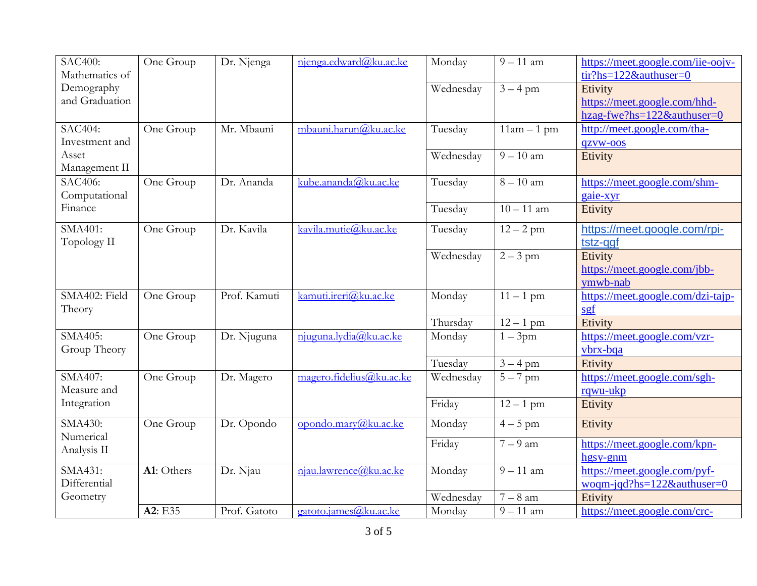| <b>SAC400:</b><br>Mathematics of | One Group  | Dr. Njenga   | njenga.edward@ku.ac.ke   | Monday    | $9 - 11$ am          | https://meet.google.com/iie-oojv-<br>$\frac{\text{tr?hs}=122}{\text{d}x \cdot \text{c}}$ hs=122& authuser=0 |
|----------------------------------|------------|--------------|--------------------------|-----------|----------------------|-------------------------------------------------------------------------------------------------------------|
| Demography                       |            |              |                          | Wednesday | $3 - 4$ pm           | Etivity                                                                                                     |
| and Graduation                   |            |              |                          |           |                      | https://meet.google.com/hhd-                                                                                |
|                                  |            |              |                          |           |                      | hzag-fwe?hs=122&authuser=0                                                                                  |
| SAC404:                          | One Group  | Mr. Mbauni   | mbauni.harun@ku.ac.ke    | Tuesday   | $11am - 1pm$         | http://meet.google.com/tha-                                                                                 |
| Investment and                   |            |              |                          |           |                      | qzvw-oos                                                                                                    |
| Asset                            |            |              |                          | Wednesday | $9 - 10$ am          | Etivity                                                                                                     |
| Management II                    |            |              |                          |           |                      |                                                                                                             |
| SAC406:                          | One Group  | Dr. Ananda   | kube.ananda@ku.ac.ke     | Tuesday   | $8 - 10$ am          | https://meet.google.com/shm-                                                                                |
| Computational                    |            |              |                          |           |                      | gaie-xyr                                                                                                    |
| Finance                          |            |              |                          | Tuesday   | $10 - 11$ am         | Etivity                                                                                                     |
| SMA401:                          | One Group  | Dr. Kavila   | kavila.mutie@ku.ac.ke    | Tuesday   | $\frac{1}{2}$ – 2 pm | https://meet.google.com/rpi-                                                                                |
| Topology II                      |            |              |                          |           |                      | tstz-ggf                                                                                                    |
|                                  |            |              |                          | Wednesday | $2 - 3$ pm           | Etivity                                                                                                     |
|                                  |            |              |                          |           |                      | https://meet.google.com/jbb-                                                                                |
|                                  |            |              |                          |           |                      | ymwb-nab                                                                                                    |
| SMA402: Field                    | One Group  | Prof. Kamuti | kamuti.ireri@ku.ac.ke    | Monday    | $11 - 1$ pm          | https://meet.google.com/dzi-tajp-                                                                           |
| Theory                           |            |              |                          |           |                      | sgf                                                                                                         |
|                                  |            |              |                          | Thursday  | $12 - 1$ pm          | Etivity                                                                                                     |
| SMA405:                          | One Group  | Dr. Njuguna  | njuguna.lydia@ku.ac.ke   | Monday    | $1 - 3$ pm           | https://meet.google.com/vzr-                                                                                |
| Group Theory                     |            |              |                          |           |                      | vbrx-bqa                                                                                                    |
| SMA407:                          |            |              | magero.fidelius@ku.ac.ke | Tuesday   | $3 - 4$ pm           | Etivity                                                                                                     |
| Measure and                      | One Group  | Dr. Magero   |                          | Wednesday | $5 - 7$ pm           | https://meet.google.com/sgh-<br>rqwu-ukp                                                                    |
| Integration                      |            |              |                          | Friday    | $12 - 1$ pm          | Etivity                                                                                                     |
|                                  |            |              |                          |           |                      |                                                                                                             |
| SMA430:<br>Numerical             | One Group  | Dr. Opondo   | opondo.mary@ku.ac.ke     | Monday    | $4-5$ pm             | Etivity                                                                                                     |
| Analysis II                      |            |              |                          | Friday    | $7-9$ am             | https://meet.google.com/kpn-                                                                                |
|                                  |            |              |                          |           |                      | hgsy-gnm                                                                                                    |
| SMA431:                          | A1: Others | Dr. Njau     | njau.lawrence@ku.ac.ke   | Monday    | $9 - 11$ am          | https://meet.google.com/pyf-                                                                                |
| Differential                     |            |              |                          |           |                      | woqm-jqd?hs=122&authuser=0                                                                                  |
| Geometry                         |            |              |                          | Wednesday | $7-8$ am             | Etivity                                                                                                     |
|                                  | A2: E35    | Prof. Gatoto | gatoto.james@ku.ac.ke    | Monday    | $9 - 11$ am          | https://meet.google.com/crc-                                                                                |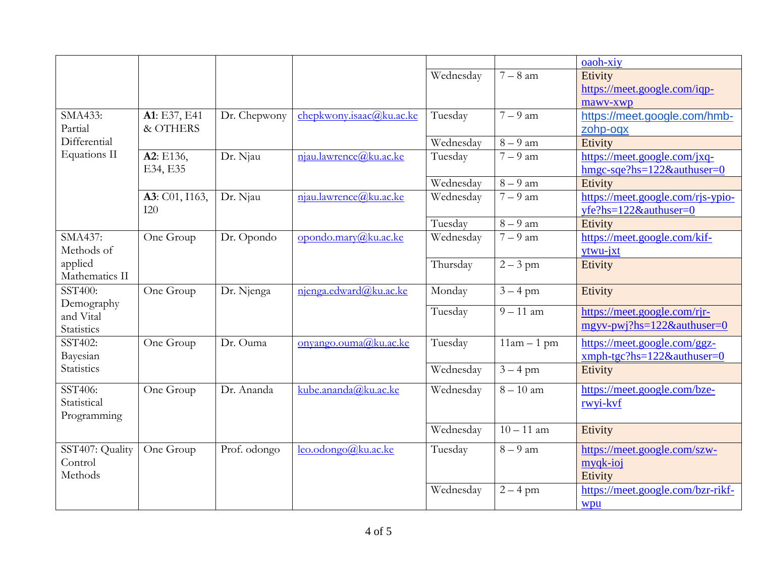|                        |                |              |                          |           |              | oaoh-xiy                            |
|------------------------|----------------|--------------|--------------------------|-----------|--------------|-------------------------------------|
|                        |                |              |                          | Wednesday | $7-8$ am     | Etivity                             |
|                        |                |              |                          |           |              | https://meet.google.com/iqp-        |
|                        |                |              |                          |           |              | mawv-xwp                            |
| SMA433:                | A1: E37, E41   | Dr. Chepwony | chepkwony.isaac@ku.ac.ke | Tuesday   | $7-9$ am     | https://meet.google.com/hmb-        |
| Partial                | & OTHERS       |              |                          |           |              | zohp-oqx                            |
| Differential           |                |              |                          | Wednesday | $8-9$ am     | Etivity                             |
| Equations II           | A2: E136,      | Dr. Njau     | njau.lawrence@ku.ac.ke   | Tuesday   | $7-9$ am     | https://meet.google.com/jxq-        |
|                        | E34, E35       |              |                          |           |              | hmgc-sqe?hs=122&authuser=0          |
|                        |                |              |                          | Wednesday | $8-9$ am     | Etivity                             |
|                        | A3: C01, I163, | Dr. Njau     | njau.lawrence@ku.ac.ke   | Wednesday | $7-9$ am     | https://meet.google.com/rjs-ypio-   |
|                        | I20            |              |                          |           |              | $yfe?hs=122&\text{author}=0$        |
|                        |                |              |                          | Tuesday   | $8-9$ am     | Etivity                             |
| SMA437:                | One Group      | Dr. Opondo   | opondo.mary@ku.ac.ke     | Wednesday | $7-9$ am     | https://meet.google.com/kif-        |
| Methods of             |                |              |                          |           |              | ytwu-jxt                            |
| applied                |                |              |                          | Thursday  | $2 - 3$ pm   | Etivity                             |
| Mathematics II         |                |              |                          |           |              |                                     |
| SST400:                | One Group      | Dr. Njenga   | njenga.edward@ku.ac.ke   | Monday    | $3 - 4$ pm   | Etivity                             |
| Demography             |                |              |                          | Tuesday   | $9 - 11$ am  | https://meet.google.com/rjr-        |
| and Vital              |                |              |                          |           |              | $mgyv-pwj?hs=122&\text{authuser}=0$ |
| Statistics             |                |              |                          |           |              |                                     |
| SST402:                | One Group      | Dr. Ouma     | onyango.ouma@ku.ac.ke    | Tuesday   | $11am - 1pm$ | https://meet.google.com/ggz-        |
| Bayesian<br>Statistics |                |              |                          |           |              | xmph-tgc?hs=122&authuser=0          |
|                        |                |              |                          | Wednesday | $3 - 4$ pm   | Etivity                             |
| SST406:                | One Group      | Dr. Ananda   | kube.ananda@ku.ac.ke     | Wednesday | $8 - 10$ am  | https://meet.google.com/bze-        |
| Statistical            |                |              |                          |           |              | rwyi-kvf                            |
| Programming            |                |              |                          |           |              |                                     |
|                        |                |              |                          | Wednesday | $10 - 11$ am | Etivity                             |
| SST407: Quality        | One Group      | Prof. odongo | leo.odongo@ku.ac.ke      | Tuesday   | $8-9$ am     | https://meet.google.com/szw-        |
| Control                |                |              |                          |           |              | myqk-ioj                            |
| Methods                |                |              |                          |           |              | Etivity                             |
|                        |                |              |                          | Wednesday | $2 - 4$ pm   | https://meet.google.com/bzr-rikf-   |
|                        |                |              |                          |           |              | wpu                                 |